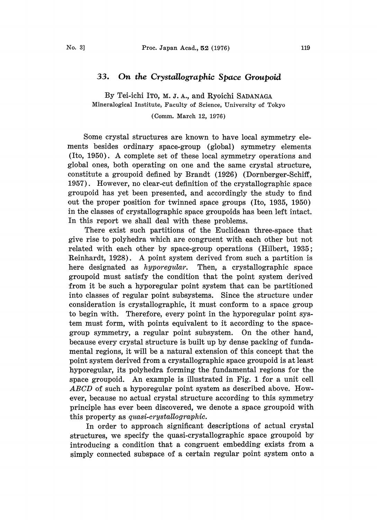## 33. On the Crystallographic Space Groupoid

By Tei-ichi ITO, M. J. A., and Ryoichi SADANAGA Mineralogical Institute, Faculty of Science, University of Tokyo

(Comm. March 12, 1976)

Some crystal structures are known to have local symmetry elements besides ordinary space-group (global) symmetry elements (Ito, 1950). A complete set of these local symmetry operations and global ones, both operating on one and the same. crystal structure, constitute a groupoid defined by Brandt (1926) (Dornberger-Schiff, 1957). However, no clear-cut definition of the crystallographic space groupoid has yet been presented, and accordingly the study to find out the proper position for twinned space groups (Ito, 1935, 1950) in the classes of crystallographic space groupoids has been left intact. In this report we shall deal with these problems.

There exist such partitions of the Euclidean three-space that give rise to polyhedra which are congruent with each other but not related with each other by space-group operations (Hilbert, 1935; Reinhardt, 1928.). A point system derived from such <sup>a</sup> partition is here designated as *hyporegular*. Then, a crystallographic space groupoid must satisfy the condition that the point system derived from it be such a hyporegular point system that can be partitioned into classes of regular point subsystems. Since the structure under consideration is crystallographic, it must conform to a space group to begin with. Therefore, every point in the hyporegular point system must form, with points equivalent to it according to the spacegroup symmetry, a regular point subsystem. On the other hand, because every crystal structure is built up by dense packing of fundamental regions, it will be a natural extension of this concept that the point system derived from a crystallographic space groupoid is at least hyporegular, its polyhedra forming the fundamental regions for the space groupoid. An example is illustrated in Fig. <sup>1</sup> for a unit cell ABCD of such <sup>a</sup> hyporegular point system as described above. However, because no actual crystal structure according to this symmetry principle has ever been discovered, we denote a space groupoid with this property as  $quasi-crystal lographic$ .

In order to approach significant descriptions of actual crystal structures, we specify the quasi-crystallographic space groupoid by introducing a condition that a congruent embedding exists from a simply connected subspace of a certain regular point system onto a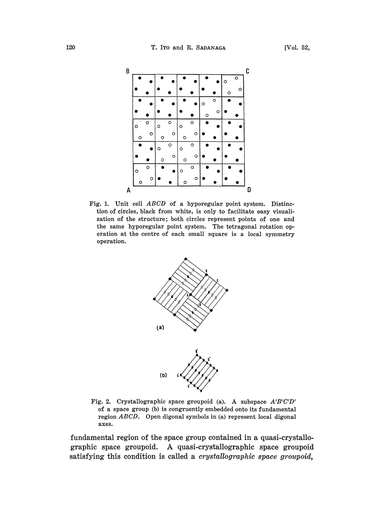

Fig. 1. Unit cell ABCD of <sup>a</sup> hyporegular point system. Distinction of circles, black from white, is only to facilitate easy visualization of the structure; both circles represent points of one and the same hyporegular point system. The tetragonal rotation operation at the centre of each small square is a local symmetry operation.



Fig. 2. Crystallographic space groupoid (a). A subspace A'B'C'D' of a space group (b) is congruently embedded onto its fundamental region ABCD. Open digonal symbols in (a) represent local digonal axes.

fundamental region of the space group contained in a quasi-crystallographic space groupoid. A quasi-crystallographic space groupoid satisfying this condition is called a *crystallographic space groupoid*,